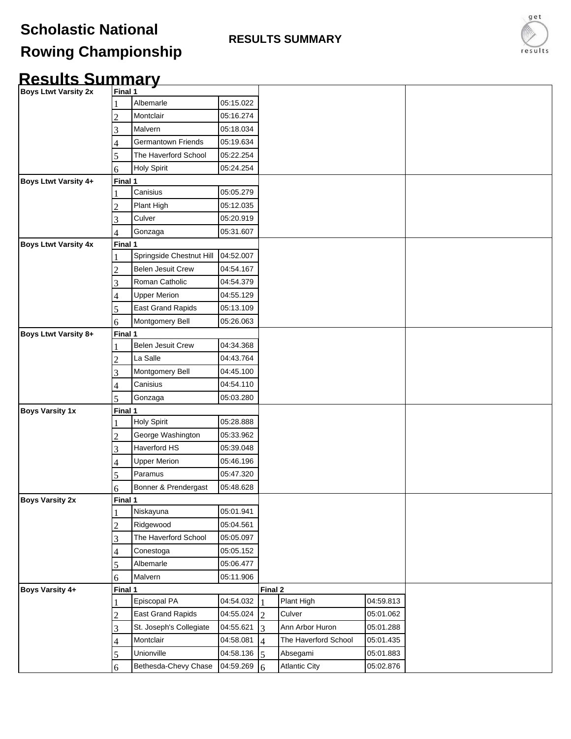## **Scholastic National**

**RESULTS SUMMARY**

## **Rowing Championship**

## **Results Summary**

| <b>Boys Ltwt Varsity 2x</b> | Final 1 |                          |           |                |                      |           |  |
|-----------------------------|---------|--------------------------|-----------|----------------|----------------------|-----------|--|
|                             |         | Albemarle                | 05:15.022 |                |                      |           |  |
|                             | っ       | Montclair                | 05:16.274 |                |                      |           |  |
|                             | 3       | Malvern                  | 05:18.034 |                |                      |           |  |
|                             |         | Germantown Friends       | 05:19.634 |                |                      |           |  |
|                             | 5       | The Haverford School     | 05:22.254 |                |                      |           |  |
|                             | 6       | <b>Holy Spirit</b>       | 05:24.254 |                |                      |           |  |
| Boys Ltwt Varsity 4+        | Final 1 |                          |           |                |                      |           |  |
|                             |         | Canisius                 | 05:05.279 |                |                      |           |  |
|                             |         | Plant High               | 05:12.035 |                |                      |           |  |
|                             | 3       | Culver                   | 05:20.919 |                |                      |           |  |
|                             |         | Gonzaga                  | 05:31.607 |                |                      |           |  |
| <b>Boys Ltwt Varsity 4x</b> | Final 1 |                          |           |                |                      |           |  |
|                             |         | Springside Chestnut Hill | 04:52.007 |                |                      |           |  |
|                             | 2       | <b>Belen Jesuit Crew</b> | 04:54.167 |                |                      |           |  |
|                             | 3       | Roman Catholic           | 04:54.379 |                |                      |           |  |
|                             | 4       | <b>Upper Merion</b>      | 04:55.129 |                |                      |           |  |
|                             | 5       | East Grand Rapids        | 05:13.109 |                |                      |           |  |
|                             | 6       | Montgomery Bell          | 05:26.063 |                |                      |           |  |
| <b>Boys Ltwt Varsity 8+</b> | Final 1 |                          |           |                |                      |           |  |
|                             |         | Belen Jesuit Crew        | 04:34.368 |                |                      |           |  |
|                             | 2       | La Salle                 | 04:43.764 |                |                      |           |  |
|                             | 3       | Montgomery Bell          | 04:45.100 |                |                      |           |  |
|                             | 4       | Canisius                 | 04:54.110 |                |                      |           |  |
|                             | 5       | Gonzaga                  | 05:03.280 |                |                      |           |  |
| <b>Boys Varsity 1x</b>      | Final 1 |                          |           |                |                      |           |  |
|                             |         | Holy Spirit              | 05:28.888 |                |                      |           |  |
|                             |         | George Washington        | 05:33.962 |                |                      |           |  |
|                             | 3       | Haverford HS             | 05:39.048 |                |                      |           |  |
|                             |         | <b>Upper Merion</b>      | 05:46.196 |                |                      |           |  |
|                             |         | Paramus                  | 05:47.320 |                |                      |           |  |
|                             | 6       | Bonner & Prendergast     | 05:48.628 |                |                      |           |  |
| <b>Boys Varsity 2x</b>      | Final 1 |                          |           |                |                      |           |  |
|                             |         | Niskayuna                | 05:01.941 |                |                      |           |  |
|                             |         | Ridgewood                | 05:04.561 |                |                      |           |  |
|                             | 3       | The Haverford School     | 05:05.097 |                |                      |           |  |
|                             |         | Conestoga                | 05:05.152 |                |                      |           |  |
|                             | 5       | Albemarle                | 05:06.477 |                |                      |           |  |
|                             | 6       | Malvern                  | 05:11.906 |                |                      |           |  |
| Boys Varsity 4+             | Final 1 |                          |           | Final 2        |                      |           |  |
|                             |         | Episcopal PA             | 04:54.032 |                | Plant High           | 04:59.813 |  |
|                             | 2       | East Grand Rapids        | 04:55.024 | $\overline{2}$ | Culver               | 05:01.062 |  |
|                             | 3       | St. Joseph's Collegiate  | 04:55.621 | 3              | Ann Arbor Huron      | 05:01.288 |  |
|                             | 4       | Montclair                | 04:58.081 | $\overline{4}$ | The Haverford School | 05:01.435 |  |
|                             | 5       | Unionville               | 04:58.136 | 5              | Absegami             | 05:01.883 |  |
|                             | 6       | Bethesda-Chevy Chase     | 04:59.269 | 6              | Atlantic City        | 05:02.876 |  |

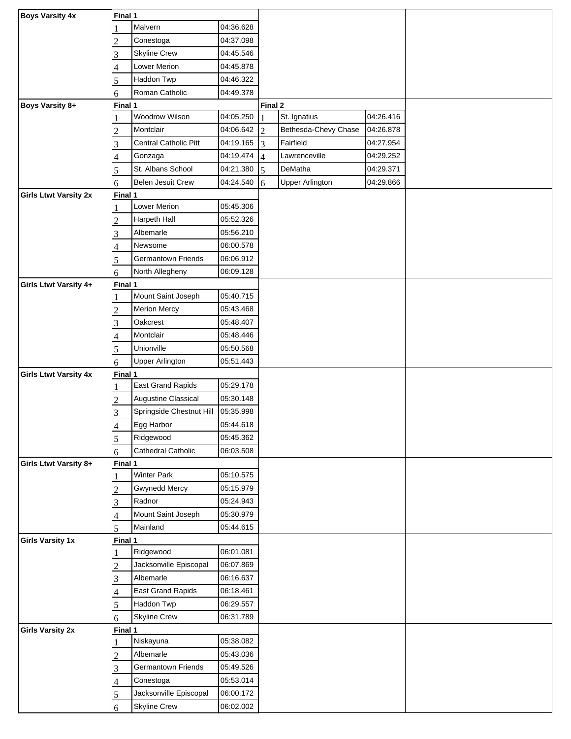| <b>Boys Varsity 4x</b>       | Final 1 |                          |           |                |                        |           |  |
|------------------------------|---------|--------------------------|-----------|----------------|------------------------|-----------|--|
|                              |         | Malvern                  | 04:36.628 |                |                        |           |  |
|                              | 2       | Conestoga                | 04:37.098 |                |                        |           |  |
|                              | 3       | <b>Skyline Crew</b>      | 04:45.546 |                |                        |           |  |
|                              | 4       | Lower Merion             | 04:45.878 |                |                        |           |  |
|                              | 5       | Haddon Twp               | 04:46.322 |                |                        |           |  |
|                              | 6       | Roman Catholic           | 04:49.378 |                |                        |           |  |
| Boys Varsity 8+              | Final 1 |                          |           | Final 2        |                        |           |  |
|                              |         | Woodrow Wilson           | 04:05.250 |                | St. Ignatius           | 04:26.416 |  |
|                              | 2       | Montclair                | 04:06.642 | $\overline{2}$ | Bethesda-Chevy Chase   | 04:26.878 |  |
|                              | 3       | Central Catholic Pitt    | 04:19.165 | $\overline{3}$ | Fairfield              | 04:27.954 |  |
|                              |         | Gonzaga                  | 04:19.474 | $\overline{4}$ | Lawrenceville          | 04:29.252 |  |
|                              | 5       | St. Albans School        | 04:21.380 | 5              | DeMatha                | 04:29.371 |  |
|                              | 6       | Belen Jesuit Crew        | 04:24.540 | 6              | <b>Upper Arlington</b> | 04:29.866 |  |
| <b>Girls Ltwt Varsity 2x</b> | Final 1 |                          |           |                |                        |           |  |
|                              |         | Lower Merion             | 05:45.306 |                |                        |           |  |
|                              | 2       | Harpeth Hall             | 05:52.326 |                |                        |           |  |
|                              | 3       | Albemarle                | 05:56.210 |                |                        |           |  |
|                              |         | Newsome                  | 06:00.578 |                |                        |           |  |
|                              | 5       | Germantown Friends       | 06:06.912 |                |                        |           |  |
|                              | 6       | North Allegheny          | 06:09.128 |                |                        |           |  |
| Girls Ltwt Varsity 4+        | Final 1 |                          |           |                |                        |           |  |
|                              |         | Mount Saint Joseph       | 05:40.715 |                |                        |           |  |
|                              | 2       | <b>Merion Mercy</b>      | 05:43.468 |                |                        |           |  |
|                              | 3       | Oakcrest                 | 05:48.407 |                |                        |           |  |
|                              | 4       | Montclair                | 05:48.446 |                |                        |           |  |
|                              | 5       | Unionville               | 05:50.568 |                |                        |           |  |
|                              | 6       | <b>Upper Arlington</b>   | 05:51.443 |                |                        |           |  |
| <b>Girls Ltwt Varsity 4x</b> | Final 1 |                          |           |                |                        |           |  |
|                              |         | East Grand Rapids        | 05:29.178 |                |                        |           |  |
|                              | 2       | Augustine Classical      | 05:30.148 |                |                        |           |  |
|                              | 3       | Springside Chestnut Hill | 05:35.998 |                |                        |           |  |
|                              | 4       | Egg Harbor               | 05:44.618 |                |                        |           |  |
|                              | 5       | Ridgewood                | 05:45.362 |                |                        |           |  |
|                              | 6       | Cathedral Catholic       | 06:03.508 |                |                        |           |  |
| Girls Ltwt Varsity 8+        | Final 1 |                          |           |                |                        |           |  |
|                              |         | <b>Winter Park</b>       | 05:10.575 |                |                        |           |  |
|                              | 2       | <b>Gwynedd Mercy</b>     | 05:15.979 |                |                        |           |  |
|                              | 3       | Radnor                   | 05:24.943 |                |                        |           |  |
|                              |         | Mount Saint Joseph       | 05:30.979 |                |                        |           |  |
|                              | 5       | Mainland                 | 05:44.615 |                |                        |           |  |
| <b>Girls Varsity 1x</b>      | Final 1 |                          |           |                |                        |           |  |
|                              |         | Ridgewood                | 06:01.081 |                |                        |           |  |
|                              |         | Jacksonville Episcopal   | 06:07.869 |                |                        |           |  |
|                              | 3       | Albemarle                | 06:16.637 |                |                        |           |  |
|                              | 4       | <b>East Grand Rapids</b> | 06:18.461 |                |                        |           |  |
|                              | 5       | Haddon Twp               | 06:29.557 |                |                        |           |  |
|                              | 6       | <b>Skyline Crew</b>      | 06:31.789 |                |                        |           |  |
| <b>Girls Varsity 2x</b>      | Final 1 |                          |           |                |                        |           |  |
|                              |         | Niskayuna                | 05:38.082 |                |                        |           |  |
|                              |         | Albemarle                | 05:43.036 |                |                        |           |  |
|                              | 3       | Germantown Friends       | 05:49.526 |                |                        |           |  |
|                              |         |                          |           |                |                        |           |  |
|                              | 4       | Conestoga                | 05:53.014 |                |                        |           |  |
|                              | 5       | Jacksonville Episcopal   | 06:00.172 |                |                        |           |  |